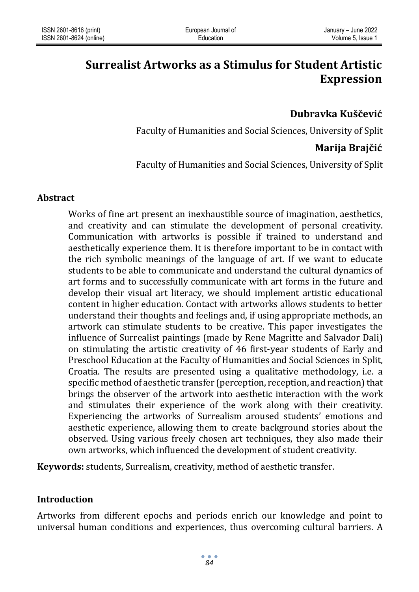# **Surrealist Artworks as a Stimulus for Student Artistic Expression**

# **Dubravka Kuščević**

Faculty of Humanities and Social Sciences, University of Split

## **Marija Brajčić**

Faculty of Humanities and Social Sciences, University of Split

#### **Abstract**

Works of fine art present an inexhaustible source of imagination, aesthetics, and creativity and can stimulate the development of personal creativity. Communication with artworks is possible if trained to understand and aesthetically experience them. It is therefore important to be in contact with the rich symbolic meanings of the language of art. If we want to educate students to be able to communicate and understand the cultural dynamics of art forms and to successfully communicate with art forms in the future and develop their visual art literacy, we should implement artistic educational content in higher education. Contact with artworks allows students to better understand their thoughts and feelings and, if using appropriate methods, an artwork can stimulate students to be creative. This paper investigates the influence of Surrealist paintings (made by Rene Magritte and Salvador Dali) on stimulating the artistic creativity of 46 first-year students of Early and Preschool Education at the Faculty of Humanities and Social Sciences in Split, Croatia. The results are presented using a qualitative methodology, i.e. a specific method of aesthetic transfer (perception, reception, and reaction) that brings the observer of the artwork into aesthetic interaction with the work and stimulates their experience of the work along with their creativity. Experiencing the artworks of Surrealism aroused students' emotions and aesthetic experience, allowing them to create background stories about the observed. Using various freely chosen art techniques, they also made their own artworks, which influenced the development of student creativity.

**Keywords:** students, Surrealism, creativity, method of aesthetic transfer.

### **Introduction**

Artworks from different epochs and periods enrich our knowledge and point to universal human conditions and experiences, thus overcoming cultural barriers. A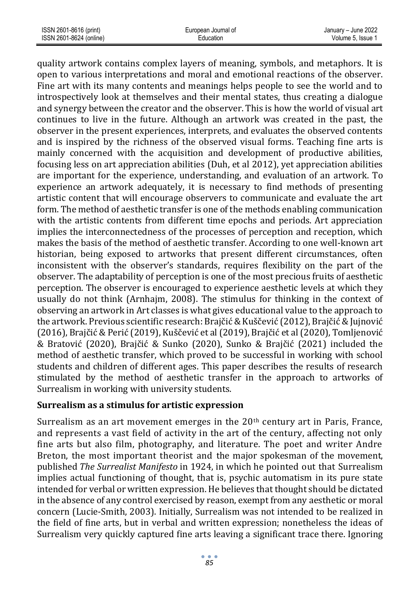| ISSN 2601-8616 (print)  | European Journal of | January – June 2022 |
|-------------------------|---------------------|---------------------|
| ISSN 2601-8624 (online) | Education           | Volume 5. Issue 1   |

quality artwork contains complex layers of meaning, symbols, and metaphors. It is open to various interpretations and moral and emotional reactions of the observer. Fine art with its many contents and meanings helps people to see the world and to introspectively look at themselves and their mental states, thus creating a dialogue and synergy between the creator and the observer. This is how the world of visual art continues to live in the future. Although an artwork was created in the past, the observer in the present experiences, interprets, and evaluates the observed contents and is inspired by the richness of the observed visual forms. Teaching fine arts is mainly concerned with the acquisition and development of productive abilities, focusing less on art appreciation abilities (Duh, et al 2012), yet appreciation abilities are important for the experience, understanding, and evaluation of an artwork. To experience an artwork adequately, it is necessary to find methods of presenting artistic content that will encourage observers to communicate and evaluate the art form. The method of aesthetic transfer is one of the methods enabling communication with the artistic contents from different time epochs and periods. Art appreciation implies the interconnectedness of the processes of perception and reception, which makes the basis of the method of aesthetic transfer. According to one well-known art historian, being exposed to artworks that present different circumstances, often inconsistent with the observer's standards, requires flexibility on the part of the observer. The adaptability of perception is one of the most precious fruits of aesthetic perception. The observer is encouraged to experience aesthetic levels at which they usually do not think (Arnhajm, 2008). The stimulus for thinking in the context of observing an artwork in Art classes is what gives educational value to the approach to the artwork. Previous scientific research: Brajčić & Kuščević (2012), Brajčić & Jujnović (2016), Brajčić & Perić (2019), Kuščević et al (2019), Brajčić et al (2020), Tomljenović & Bratović (2020), Brajčić & Sunko (2020), Sunko & Brajčić (2021) included the method of aesthetic transfer, which proved to be successful in working with school students and children of different ages. This paper describes the results of research stimulated by the method of aesthetic transfer in the approach to artworks of Surrealism in working with university students.

#### **Surrealism as a stimulus for artistic expression**

Surrealism as an art movement emerges in the  $20<sup>th</sup>$  century art in Paris, France, and represents a vast field of activity in the art of the century, affecting not only fine arts but also film, photography, and literature. The poet and writer Andre Breton, the most important theorist and the major spokesman of the movement, published *The Surrealist Manifesto* in 1924, in which he pointed out that Surrealism implies actual functioning of thought, that is, psychic automatism in its pure state intended for verbal or written expression. He believes that thought should be dictated in the absence of any control exercised by reason, exempt from any [aesthetic](https://www.moma.org/learn/moma_learning/glossary/#aesthetic) or moral concern (Lucie-Smith, 2003). Initially, Surrealism was not intended to be realized in the field of fine arts, but in verbal and written expression; nonetheless the ideas of Surrealism very quickly captured fine arts leaving a significant trace there. Ignoring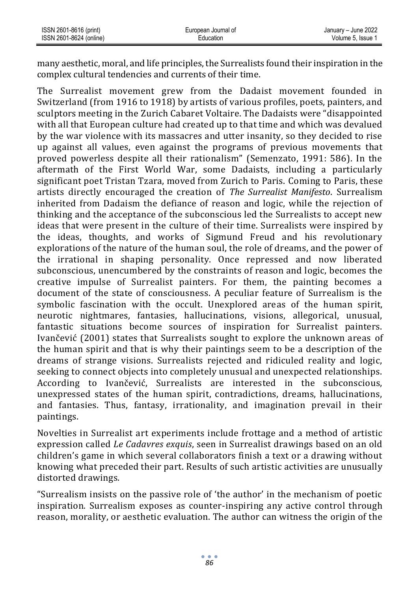| ISSN 2601-8616 (print)  | European Journal of | January - June 2022 |
|-------------------------|---------------------|---------------------|
| ISSN 2601-8624 (online) | Education           | Volume 5. Issue 1   |

many aesthetic, moral, and life principles, the Surrealists found their inspiration in the complex cultural tendencies and currents of their time.

The Surrealist movement grew from the Dadaist movement founded in Switzerland (from 1916 to 1918) by artists of various profiles, poets, painters, and sculptors meeting in the Zurich Cabaret Voltaire. The Dadaists were "disappointed with all that European culture had created up to that time and which was devalued by the war violence with its massacres and utter insanity, so they decided to rise up against all values, even against the programs of previous movements that proved powerless despite all their rationalism" (Semenzato, 1991: 586). In the aftermath of the First World War, some Dadaists, including a particularly significant poet Tristan Tzara, moved from Zurich to Paris. Coming to Paris, these artists directly encouraged the creation of *The Surrealist Manifesto*. Surrealism inherited from Dadaism the defiance of reason and logic, while the rejection of thinking and the acceptance of the subconscious led the Surrealists to accept new ideas that were present in the culture of their time. Surrealists were inspired by the ideas, thoughts, and works of Sigmund Freud and his revolutionary explorations of the nature of the human soul, the role of dreams, and the power of the irrational in shaping personality. Once repressed and now liberated subconscious, unencumbered by the constraints of reason and logic, becomes the creative impulse of Surrealist painters. For them, the painting becomes a document of the state of consciousness. A peculiar feature of Surrealism is the symbolic fascination with the occult. Unexplored areas of the human spirit, neurotic nightmares, fantasies, hallucinations, visions, allegorical, unusual, fantastic situations become sources of inspiration for Surrealist painters. Ivančević (2001) states that Surrealists sought to explore the unknown areas of the human spirit and that is why their paintings seem to be a description of the dreams of strange visions. Surrealists rejected and ridiculed reality and logic, seeking to connect objects into completely unusual and unexpected relationships. According to Ivančević, Surrealists are interested in the subconscious, unexpressed states of the human spirit, contradictions, dreams, hallucinations, and fantasies. Thus, fantasy, irrationality, and imagination prevail in their paintings.

Novelties in Surrealist art experiments include frottage and a method of artistic expression called *Le Cadavres exquis*, seen in Surrealist drawings based on an old children's game in which several collaborators finish a text or a drawing without knowing what preceded their part. Results of such artistic activities are unusually distorted drawings.

"Surrealism insists on the passive role of 'the author' in the mechanism of poetic inspiration. Surrealism exposes as counter-inspiring any active control through reason, morality, or aesthetic evaluation. The author can witness the origin of the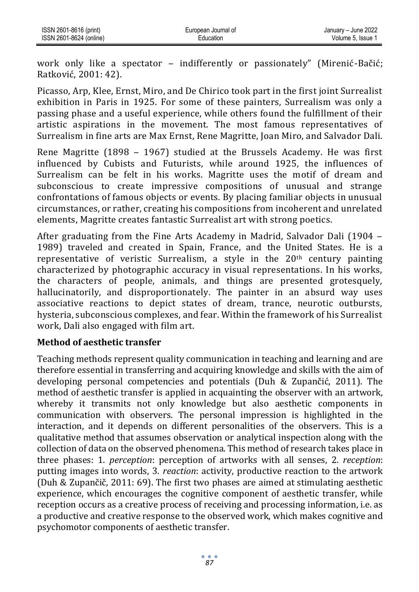work only like a spectator – indifferently or passionately" (Mirenić-Bačić; Ratković, 2001: 42).

Picasso, Arp, Klee, Ernst, Miro, and De Chirico took part in the first joint Surrealist exhibition in Paris in 1925. For some of these painters, Surrealism was only a passing phase and a useful experience, while others found the fulfillment of their artistic aspirations in the movement. The most famous representatives of Surrealism in fine arts are Max Ernst, Rene Magritte, Joan Miro, and Salvador Dali.

Rene Magritte (1898 ‒ 1967) studied at the Brussels Academy. He was first influenced by Cubists and Futurists, while around 1925, the influences of Surrealism can be felt in his works. Magritte uses the motif of dream and subconscious to create impressive compositions of unusual and strange confrontations of famous objects or events. By placing familiar objects in unusual circumstances, or rather, creating his compositions from incoherent and unrelated elements, Magritte creates fantastic Surrealist art with strong poetics.

After graduating from the Fine Arts Academy in Madrid, Salvador Dali (1904 ‒ 1989) traveled and created in Spain, France, and the United States. He is a representative of veristic Surrealism, a style in the  $20<sup>th</sup>$  century painting characterized by photographic accuracy in visual representations. In his works, the characters of people, animals, and things are presented grotesquely, hallucinatorily, and disproportionately. The painter in an absurd way uses associative reactions to depict states of dream, trance, neurotic outbursts, hysteria, subconscious complexes, and fear. Within the framework of his Surrealist work, Dali also engaged with film art.

### **Method of aesthetic transfer**

Teaching methods represent quality communication in teaching and learning and are therefore essential in transferring and acquiring knowledge and skills with the aim of developing personal competencies and potentials (Duh & Zupančić, 2011). The method of aesthetic transfer is applied in acquainting the observer with an artwork, whereby it transmits not only knowledge but also aesthetic components in communication with observers. The personal impression is highlighted in the interaction, and it depends on different personalities of the observers. This is a qualitative method that assumes observation or analytical inspection along with the collection of data on the observed phenomena. This method of research takes place in three phases: 1. *perception*: perception of artworks with all senses, 2. *reception*: putting images into words, 3. *reaction*: activity, productive reaction to the artwork (Duh & Zupančič, 2011: 69). The first two phases are aimed at stimulating aesthetic experience, which encourages the cognitive component of aesthetic transfer, while reception occurs as a creative process of receiving and processing information, i.e. as a productive and creative response to the observed work, which makes cognitive and psychomotor components of aesthetic transfer.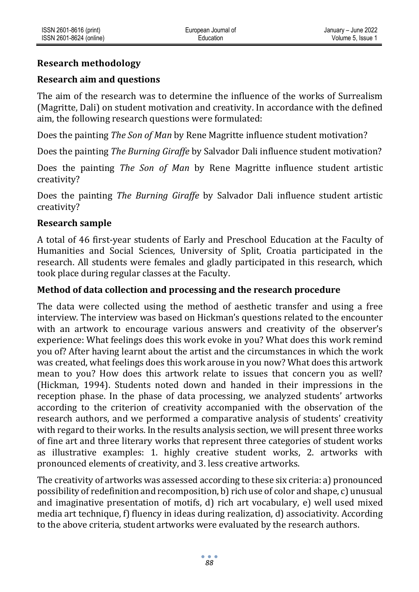## **Research methodology**

## **Research aim and questions**

The aim of the research was to determine the influence of the works of Surrealism (Magritte, Dali) on student motivation and creativity. In accordance with the defined aim, the following research questions were formulated:

Does the painting *The Son of Man* by Rene Magritte influence student motivation?

Does the painting *The Burning Giraffe* by Salvador Dali influence student motivation?

Does the painting *The Son of Man* by Rene Magritte influence student artistic creativity?

Does the painting *The Burning Giraffe* by Salvador Dali influence student artistic creativity?

### **Research sample**

A total of 46 first-year students of Early and Preschool Education at the Faculty of Humanities and Social Sciences, University of Split, Croatia participated in the research. All students were females and gladly participated in this research, which took place during regular classes at the Faculty.

## **Method of data collection and processing and the research procedure**

The data were collected using the method of aesthetic transfer and using a free interview. The interview was based on Hickman's questions related to the encounter with an artwork to encourage various answers and creativity of the observer's experience: What feelings does this work evoke in you? What does this work remind you of? After having learnt about the artist and the circumstances in which the work was created, what feelings does this work arouse in you now? What does this artwork mean to you? How does this artwork relate to issues that concern you as well? (Hickman, 1994). Students noted down and handed in their impressions in the reception phase. In the phase of data processing, we analyzed students' artworks according to the criterion of creativity accompanied with the observation of the research authors, and we performed a comparative analysis of students' creativity with regard to their works. In the results analysis section, we will present three works of fine art and three literary works that represent three categories of student works as illustrative examples: 1. highly creative student works, 2. artworks with pronounced elements of creativity, and 3. less creative artworks.

The creativity of artworks was assessed according to these six criteria: a) pronounced possibility of redefinition and recomposition, b) rich use of color and shape, c) unusual and imaginative presentation of motifs, d) rich art vocabulary, e) well used mixed media art technique, f) fluency in ideas during realization, d) associativity. According to the above criteria, student artworks were evaluated by the research authors.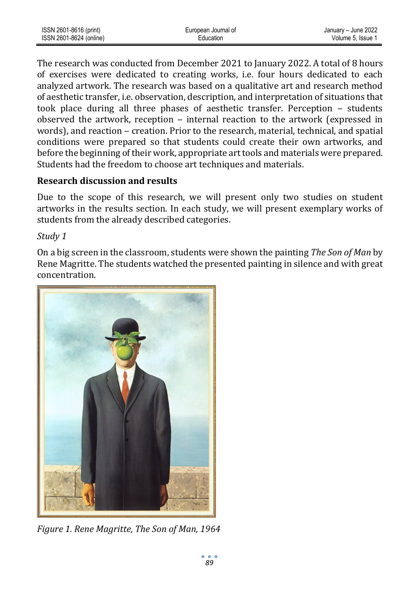| ISSN 2601-8616 (print)  | European Journal of | January - June 2022 |
|-------------------------|---------------------|---------------------|
| ISSN 2601-8624 (online) | Education           | Volume 5. Issue 1   |

The research was conducted from December 2021 to January 2022. A total of 8 hours of exercises were dedicated to creating works, i.e. four hours dedicated to each analyzed artwork. The research was based on a qualitative art and research method of aesthetic transfer, i.e. observation, description, and interpretation of situations that took place during all three phases of aesthetic transfer. Perception – students observed the artwork, reception  $-$  internal reaction to the artwork (expressed in words), and reaction ‒ creation. Prior to the research, material, technical, and spatial conditions were prepared so that students could create their own artworks, and before the beginning of their work, appropriate art tools and materials were prepared. Students had the freedom to choose art techniques and materials.

#### **Research discussion and results**

Due to the scope of this research, we will present only two studies on student artworks in the results section. In each study, we will present exemplary works of students from the already described categories.

#### *Study 1*

On a big screen in the classroom, students were shown the painting *The Son of Man* by Rene Magritte. The students watched the presented painting in silence and with great concentration.



*Figure 1[. Rene Magritte,](https://www.wikiart.org/en/rene-magritte) The Son of Man, 1964*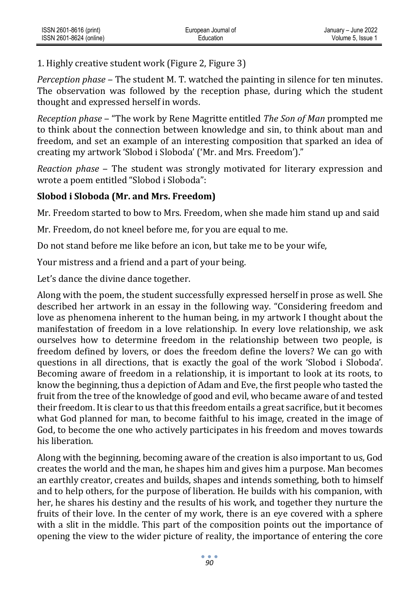1. Highly creative student work (Figure 2, Figure 3)

*Perception phase* – The student M. T. watched the painting in silence for ten minutes. The observation was followed by the reception phase, during which the student thought and expressed herself in words.

*Reception phase* ‒ "The work by Rene Magritte entitled *The Son of Man* prompted me to think about the connection between knowledge and sin, to think about man and freedom, and set an example of an interesting composition that sparked an idea of creating my artwork 'Slobod i Sloboda' ('Mr. and Mrs. Freedom')."

*Reaction phase* – The student was strongly motivated for literary expression and wrote a poem entitled "Slobod i Sloboda":

## **Slobod i Sloboda (Mr. and Mrs. Freedom)**

Mr. Freedom started to bow to Mrs. Freedom, when she made him stand up and said

Mr. Freedom, do not kneel before me, for you are equal to me.

Do not stand before me like before an icon, but take me to be your wife,

Your mistress and a friend and a part of your being.

Let's dance the divine dance together.

Along with the poem, the student successfully expressed herself in prose as well. She described her artwork in an essay in the following way. "Considering freedom and love as phenomena inherent to the human being, in my artwork I thought about the manifestation of freedom in a love relationship. In every love relationship, we ask ourselves how to determine freedom in the relationship between two people, is freedom defined by lovers, or does the freedom define the lovers? We can go with questions in all directions, that is exactly the goal of the work 'Slobod i Sloboda'. Becoming aware of freedom in a relationship, it is important to look at its roots, to know the beginning, thus a depiction of Adam and Eve, the first people who tasted the fruit from the tree of the knowledge of good and evil, who became aware of and tested their freedom. It is clear to us that this freedom entails a great sacrifice, but it becomes what God planned for man, to become faithful to his image, created in the image of God, to become the one who actively participates in his freedom and moves towards his liberation.

Along with the beginning, becoming aware of the creation is also important to us, God creates the world and the man, he shapes him and gives him a purpose. Man becomes an earthly creator, creates and builds, shapes and intends something, both to himself and to help others, for the purpose of liberation. He builds with his companion, with her, he shares his destiny and the results of his work, and together they nurture the fruits of their love. In the center of my work, there is an eye covered with a sphere with a slit in the middle. This part of the composition points out the importance of opening the view to the wider picture of reality, the importance of entering the core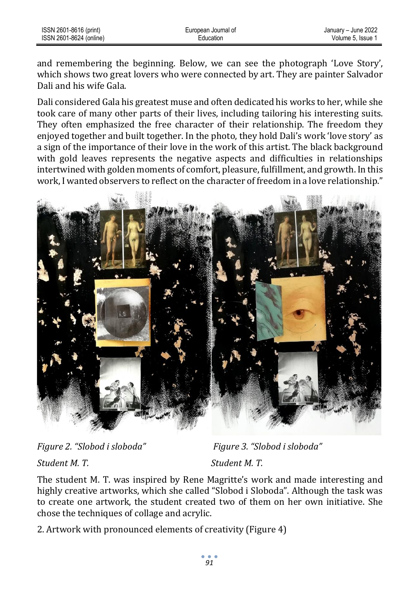| ISSN 2601-8616 (print)  | European Journal of | January – June 2022 |
|-------------------------|---------------------|---------------------|
| ISSN 2601-8624 (online) | Education           | Volume 5. Issue 1   |

and remembering the beginning. Below, we can see the photograph 'Love Story', which shows two great lovers who were connected by art. They are painter Salvador Dali and his wife Gala.

Dali considered Gala his greatest muse and often dedicated his works to her, while she took care of many other parts of their lives, including tailoring his interesting suits. They often emphasized the free character of their relationship. The freedom they enjoyed together and built together. In the photo, they hold Dali's work 'love story' as a sign of the importance of their love in the work of this artist. The black background with gold leaves represents the negative aspects and difficulties in relationships intertwined with golden moments of comfort, pleasure, fulfillment, and growth. In this work, I wanted observers to reflect on the character of freedom in a love relationship."



*Figure 2. "Slobod i sloboda" Figure 3. "Slobod i sloboda"*

*Student M. T. Student M. T.*

The student M. T. was inspired by Rene Magritte's work and made interesting and highly creative artworks, which she called "Slobod i Sloboda". Although the task was to create one artwork, the student created two of them on her own initiative. She chose the techniques of collage and acrylic.

2. Artwork with pronounced elements of creativity (Figure 4)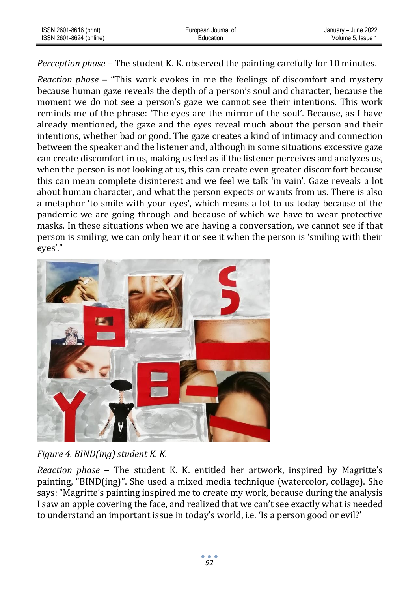| ISSN 2601-8616 (print)  | European Journal of | January - June 2022 |
|-------------------------|---------------------|---------------------|
| ISSN 2601-8624 (online) | Education           | Volume 5. Issue 1   |

*Perception phase* – The student K. K. observed the painting carefully for 10 minutes.

*Reaction phase* ‒ "This work evokes in me the feelings of discomfort and mystery because human gaze reveals the depth of a person's soul and character, because the moment we do not see a person's gaze we cannot see their intentions. This work reminds me of the phrase: 'The eyes are the mirror of the soul'. Because, as I have already mentioned, the gaze and the eyes reveal much about the person and their intentions, whether bad or good. The gaze creates a kind of intimacy and connection between the speaker and the listener and, although in some situations excessive gaze can create discomfort in us, making us feel as if the listener perceives and analyzes us, when the person is not looking at us, this can create even greater discomfort because this can mean complete disinterest and we feel we talk 'in vain'. Gaze reveals a lot about human character, and what the person expects or wants from us. There is also a metaphor 'to smile with your eyes', which means a lot to us today because of the pandemic we are going through and because of which we have to wear protective masks. In these situations when we are having a conversation, we cannot see if that person is smiling, we can only hear it or see it when the person is 'smiling with their eyes'."



*Figure 4. BIND(ing) student K. K.*

*Reaction phase* ‒ The student K. K. entitled her artwork, inspired by Magritte's painting, "BIND(ing)". She used a mixed media technique (watercolor, collage). She says: "Magritte's painting inspired me to create my work, because during the analysis I saw an apple covering the face, and realized that we can't see exactly what is needed to understand an important issue in today's world, i.e. 'Is a person good or evil?'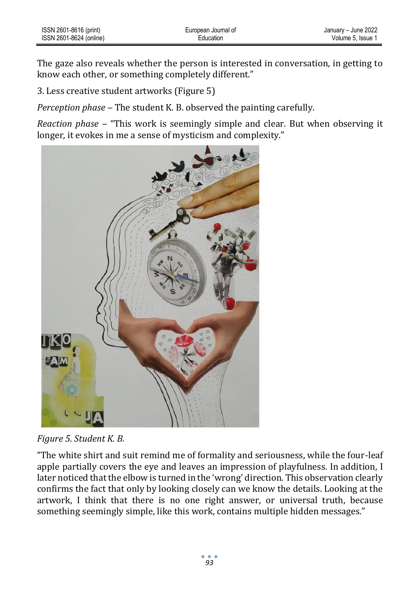The gaze also reveals whether the person is interested in conversation, in getting to know each other, or something completely different."

3. Less creative student artworks (Figure 5)

*Perception phase ‒* The student K. B. observed the painting carefully.

*Reaction phase ‒* "This work is seemingly simple and clear. But when observing it longer, it evokes in me a sense of mysticism and complexity."



*Figure 5. Student K. B.*

"The white shirt and suit remind me of formality and seriousness, while the four-leaf apple partially covers the eye and leaves an impression of playfulness. In addition, I later noticed that the elbow is turned in the 'wrong' direction. This observation clearly confirms the fact that only by looking closely can we know the details. Looking at the artwork, I think that there is no one right answer, or universal truth, because something seemingly simple, like this work, contains multiple hidden messages."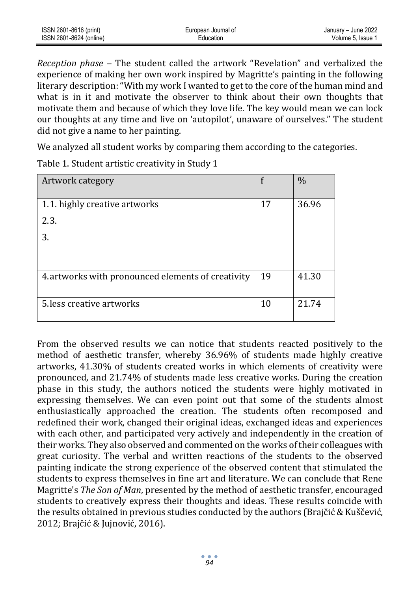| ISSN 2601-8616 (print)  | European Journal of | January - June 2022 |
|-------------------------|---------------------|---------------------|
| ISSN 2601-8624 (online) | Education           | Volume 5. Issue 1   |

*Reception phase ‒* The student called the artwork "Revelation" and verbalized the experience of making her own work inspired by Magritte's painting in the following literary description: "With my work I wanted to get to the core of the human mind and what is in it and motivate the observer to think about their own thoughts that motivate them and because of which they love life. The key would mean we can lock our thoughts at any time and live on 'autopilot', unaware of ourselves." The student did not give a name to her painting.

We analyzed all student works by comparing them according to the categories.

| Artwork category                                   |    | $\frac{0}{0}$ |
|----------------------------------------------------|----|---------------|
|                                                    |    |               |
| 1.1. highly creative artworks                      | 17 | 36.96         |
| 2.3.                                               |    |               |
| 3.                                                 |    |               |
|                                                    |    |               |
|                                                    |    |               |
| 4. artworks with pronounced elements of creativity | 19 | 41.30         |
|                                                    |    |               |
| 5. less creative artworks                          | 10 | 21.74         |
|                                                    |    |               |

Table 1. Student artistic creativity in Study 1

From the observed results we can notice that students reacted positively to the method of aesthetic transfer, whereby 36.96% of students made highly creative artworks, 41.30% of students created works in which elements of creativity were pronounced, and 21.74% of students made less creative works. During the creation phase in this study, the authors noticed the students were highly motivated in expressing themselves. We can even point out that some of the students almost enthusiastically approached the creation. The students often recomposed and redefined their work, changed their original ideas, exchanged ideas and experiences with each other, and participated very actively and independently in the creation of their works. They also observed and commented on the works of their colleagues with great curiosity. The verbal and written reactions of the students to the observed painting indicate the strong experience of the observed content that stimulated the students to express themselves in fine art and literature. We can conclude that Rene Magritte's *The Son of Man*, presented by the method of aesthetic transfer, encouraged students to creatively express their thoughts and ideas. These results coincide with the results obtained in previous studies conducted by the authors (Brajčić & Kuščević, 2012; Brajčić & Jujnović, 2016).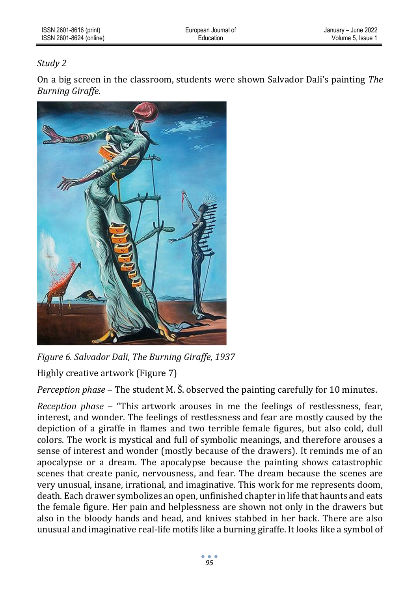## *Study 2*

On a big screen in the classroom, students were shown Salvador Dali's painting *The Burning Giraffe*.



*Figure 6[. Salvador Dali,](https://www.wikiart.org/en/salvador-dali) The Burning Giraffe, 1937*

Highly creative artwork (Figure 7)

*Perception phase* – The student M. S. observed the painting carefully for 10 minutes.

*Reception phase* ‒ "This artwork arouses in me the feelings of restlessness, fear, interest, and wonder. The feelings of restlessness and fear are mostly caused by the depiction of a giraffe in flames and two terrible female figures, but also cold, dull colors. The work is mystical and full of symbolic meanings, and therefore arouses a sense of interest and wonder (mostly because of the drawers). It reminds me of an apocalypse or a dream. The apocalypse because the painting shows catastrophic scenes that create panic, nervousness, and fear. The dream because the scenes are very unusual, insane, irrational, and imaginative. This work for me represents doom, death. Each drawer symbolizes an open, unfinished chapter in life that haunts and eats the female figure. Her pain and helplessness are shown not only in the drawers but also in the bloody hands and head, and knives stabbed in her back. There are also unusual and imaginative real-life motifs like a burning giraffe. It looks like a symbol of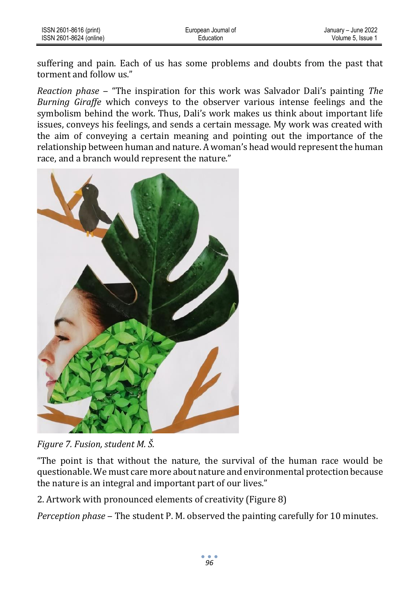suffering and pain. Each of us has some problems and doubts from the past that torment and follow us."

*Reaction phase* ‒ "The inspiration for this work was Salvador Dali's painting *The Burning Giraffe* which conveys to the observer various intense feelings and the symbolism behind the work. Thus, Dali's work makes us think about important life issues, conveys his feelings, and sends a certain message. My work was created with the aim of conveying a certain meaning and pointing out the importance of the relationship between human and nature. A woman's head would represent the human race, and a branch would represent the nature."



*Figure 7. Fusion, student M. Š.*

"The point is that without the nature, the survival of the human race would be questionable. We must care more about nature and environmental protection because the nature is an integral and important part of our lives."

2. Artwork with pronounced elements of creativity (Figure 8)

*Perception phase* – The student P. M. observed the painting carefully for 10 minutes.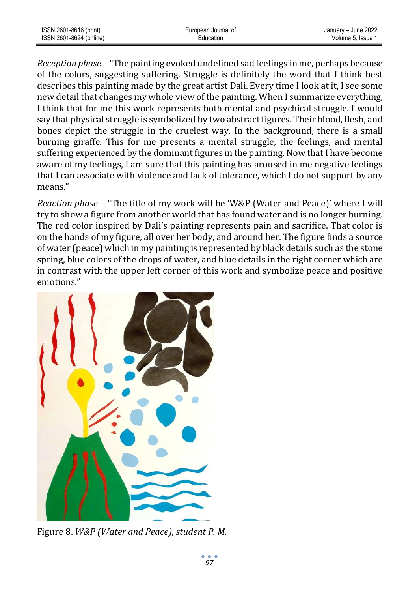| ISSN 2601-8616 (print)  | European Journal of | January - June 2022 |
|-------------------------|---------------------|---------------------|
| ISSN 2601-8624 (online) | Education           | Volume 5. Issue     |

*Reception phase* ‒ "The painting evoked undefined sad feelings in me, perhaps because of the colors, suggesting suffering. Struggle is definitely the word that I think best describes this painting made by the great artist Dali. Every time I look at it, I see some new detail that changes my whole view of the painting. When I summarize everything, I think that for me this work represents both mental and psychical struggle. I would say that physical struggle is symbolized by two abstract figures. Their blood, flesh, and bones depict the struggle in the cruelest way. In the background, there is a small burning giraffe. This for me presents a mental struggle, the feelings, and mental suffering experienced by the dominant figures in the painting. Now that I have become aware of my feelings, I am sure that this painting has aroused in me negative feelings that I can associate with violence and lack of tolerance, which I do not support by any means."

*Reaction phase* ‒ "The title of my work will be 'W&P (Water and Peace)' where I will try to show a figure from another world that has found water and is no longer burning. The red color inspired by Dali's painting represents pain and sacrifice. That color is on the hands of my figure, all over her body, and around her. The figure finds a source of water (peace) which in my painting is represented by black details such as the stone spring, blue colors of the drops of water, and blue details in the right corner which are in contrast with the upper left corner of this work and symbolize peace and positive emotions."



Figure 8. *W&P (Water and Peace), student P. M.*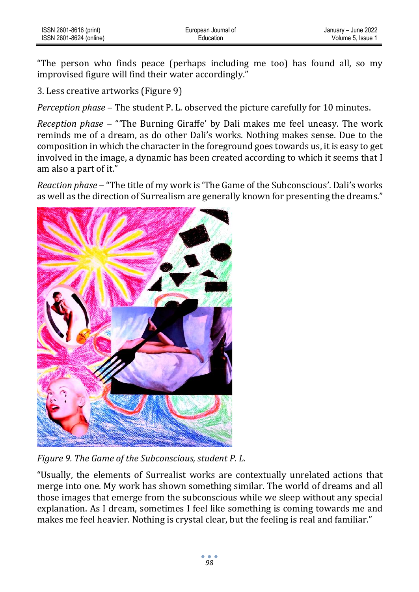"The person who finds peace (perhaps including me too) has found all, so my improvised figure will find their water accordingly."

3. Less creative artworks (Figure 9)

*Perception phase* ‒ The student P. L. observed the picture carefully for 10 minutes.

*Reception phase* ‒ "'The Burning Giraffe' by Dali makes me feel uneasy. The work reminds me of a dream, as do other Dali's works. Nothing makes sense. Due to the composition in which the character in the foreground goes towards us, it is easy to get involved in the image, a dynamic has been created according to which it seems that I am also a part of it."

*Reaction phase* ‒ "The title of my work is 'The Game of the Subconscious'. Dali's works as well as the direction of Surrealism are generally known for presenting the dreams."



*Figure 9. The Game of the Subconscious, student P. L.*

"Usually, the elements of Surrealist works are contextually unrelated actions that merge into one. My work has shown something similar. The world of dreams and all those images that emerge from the subconscious while we sleep without any special explanation. As I dream, sometimes I feel like something is coming towards me and makes me feel heavier. Nothing is crystal clear, but the feeling is real and familiar."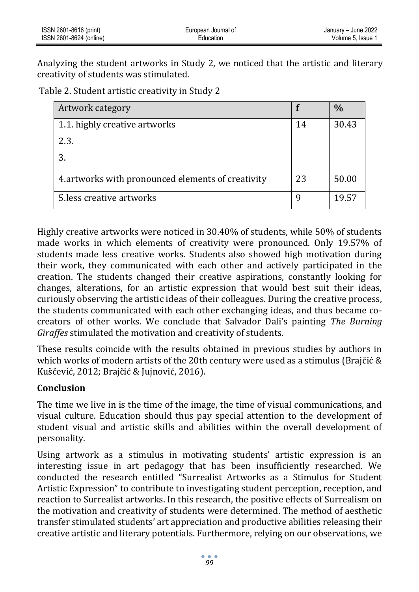| ISSN 2601-8616 (print)  | European Journal of | January - June 2022 |
|-------------------------|---------------------|---------------------|
| ISSN 2601-8624 (online) | Education           | Volume 5, Issue 1   |

Analyzing the student artworks in Study 2, we noticed that the artistic and literary creativity of students was stimulated.

Table 2. Student artistic creativity in Study 2

| Artwork category                                   |    | $\frac{0}{0}$ |
|----------------------------------------------------|----|---------------|
| 1.1. highly creative artworks                      | 14 | 30.43         |
| 2.3.                                               |    |               |
| 3.                                                 |    |               |
| 4. artworks with pronounced elements of creativity | 23 | 50.00         |
| 5. less creative artworks                          | Q  | 19.57         |

Highly creative artworks were noticed in 30.40% of students, while 50% of students made works in which elements of creativity were pronounced. Only 19.57% of students made less creative works. Students also showed high motivation during their work, they communicated with each other and actively participated in the creation. The students changed their creative aspirations, constantly looking for changes, alterations, for an artistic expression that would best suit their ideas, curiously observing the artistic ideas of their colleagues. During the creative process, the students communicated with each other exchanging ideas, and thus became cocreators of other works. We conclude that Salvador Dali's painting *The Burning Giraffes* stimulated the motivation and creativity of students.

These results coincide with the results obtained in previous studies by authors in which works of modern artists of the 20th century were used as a stimulus (Brajčić & Kuščević, 2012; Brajčić & Jujnović, 2016).

### **Conclusion**

The time we live in is the time of the image, the time of visual communications, and visual culture. Education should thus pay special attention to the development of student visual and artistic skills and abilities within the overall development of personality.

Using artwork as a stimulus in motivating students' artistic expression is an interesting issue in art pedagogy that has been insufficiently researched. We conducted the research entitled "Surrealist Artworks as a Stimulus for Student Artistic Expression" to contribute to investigating student perception, reception, and reaction to Surrealist artworks. In this research, the positive effects of Surrealism on the motivation and creativity of students were determined. The method of aesthetic transfer stimulated students' art appreciation and productive abilities releasing their creative artistic and literary potentials. Furthermore, relying on our observations, we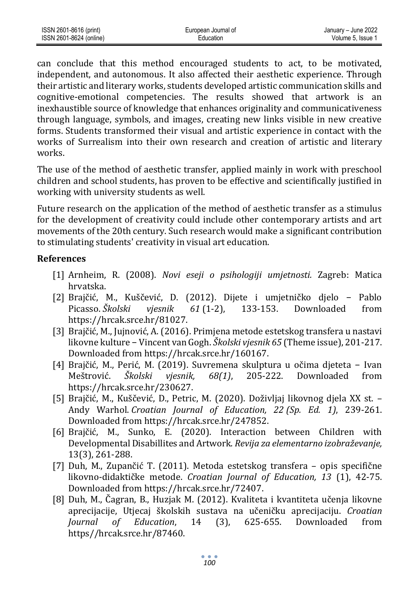| ISSN 2601-8616 (print)  | European Journal of | January - June 2022 |
|-------------------------|---------------------|---------------------|
| ISSN 2601-8624 (online) | Education           | Volume 5. Issue     |

can conclude that this method encouraged students to act, to be motivated, independent, and autonomous. It also affected their aesthetic experience. Through their artistic and literary works, students developed artistic communication skills and cognitive-emotional competencies. The results showed that artwork is an inexhaustible source of knowledge that enhances originality and communicativeness through language, symbols, and images, creating new links visible in new creative forms. Students transformed their visual and artistic experience in contact with the works of Surrealism into their own research and creation of artistic and literary works.

The use of the method of aesthetic transfer, applied mainly in work with preschool children and school students, has proven to be effective and scientifically justified in working with university students as well.

Future research on the application of the method of aesthetic transfer as a stimulus for the development of creativity could include other contemporary artists and art movements of the 20th century. Such research would make a significant contribution to stimulating students' creativity in visual art education.

### **References**

- [1] Arnheim, R. (2008). *Novi eseji o psihologiji umjetnosti.* Zagreb: Matica hrvatska.
- [2] Brajčić, M., Kuščević, D. (2012). Dijete i umjetničko djelo − Pablo Picasso. *Školski vjesnik 61* (1-2), 133-153. Downloaded from [https://hrcak.srce.hr/81027.](https://hrcak.srce.hr/81027)
- [3] Brajčić, M., Jujnović, A. (2016). Primjena metode estetskog transfera u nastavi likovne kulture − Vincent van Gogh. *Školski vjesnik 65* (Theme issue), 201-217. Downloaded from [https://hrcak.srce.hr/160167.](https://hrcak.srce.hr/160167)
- [4] Brajčić, M., Perić, M. (2019). Suvremena skulptura u očima djeteta − Ivan Meštrović. *Školski vjesnik, 68(1)*, 205-222. Downloaded from [https://hrcak.srce.hr/230627.](https://hrcak.srce.hr/230627)
- [5] Brajčić, M., Kuščević, D., Petric, M. (2020). Doživljaj likovnog djela XX st. Andy Warhol. *Croatian Journal of Education, 22 (Sp. Ed. 1)*, 239-261. Downloaded from [https://hrcak.srce.hr/247852.](https://hrcak.srce.hr/247852)
- [6] Brajčić, M., Sunko, E. (2020). Interaction between Children with Developmental Disabillites and Artwork. *Revija za elementarno izobraževanje,* 13(3), 261-288.
- [7] Duh, M., Zupančić T. (2011). Metoda estetskog transfera opis specifične likovno-didaktičke metode. *Croatian Journal of Education, 13* (1), 42-75. Downloaded from [https://hrcak.srce.hr/72407.](https://hrcak.srce.hr/72407)
- [8] Duh, M., Čagran, B., Huzjak M. (2012). Kvaliteta i kvantiteta učenja likovne aprecijacije, Utjecaj školskih sustava na učeničku aprecijaciju. *Croatian Journal of Education*, 14 (3), 625-655. Downloaded from https//hrcak.srce.hr/87460.